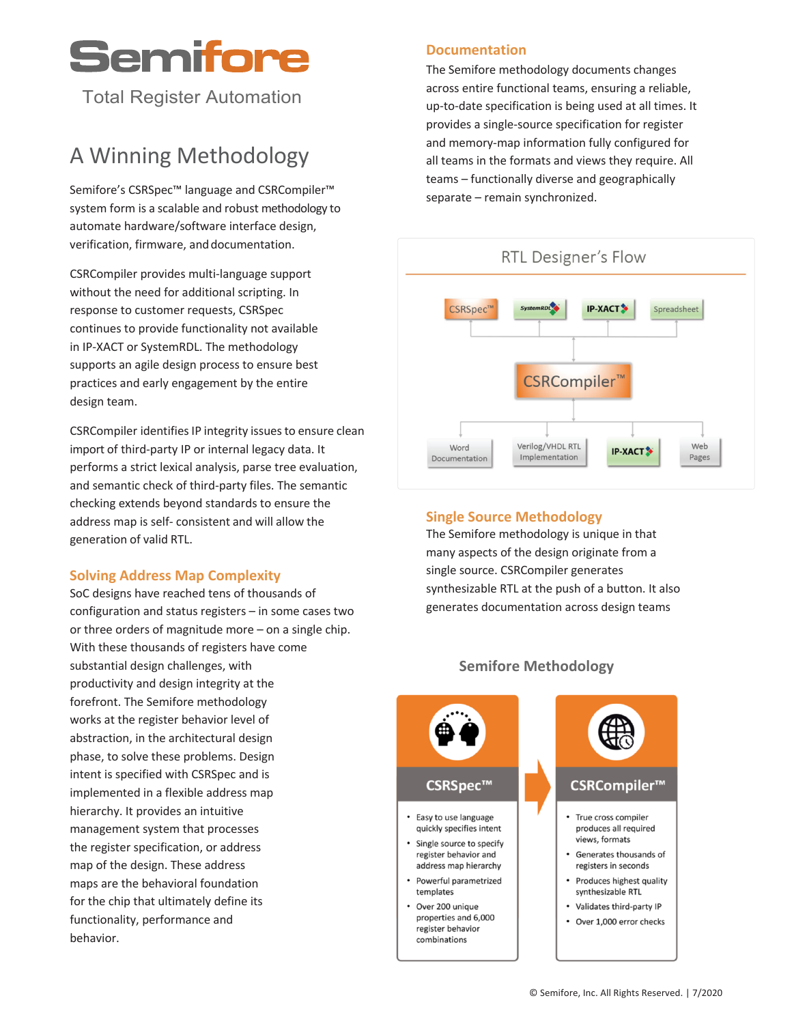# Semifore

Total Register Automation

# A Winning Methodology

Semifore's CSRSpec<sup>™</sup> language and CSRCompiler<sup>™</sup> system form is a scalable and robust methodology to automate hardware/software interface design, verification, firmware, and documentation.

CSRCompiler provides multi-language support without the need for additional scripting. In response to customer requests, CSRSpec continues to provide functionality not available in IP-XACT or SystemRDL. The methodology supports an agile design process to ensure best practices and early engagement by the entire design team.

CSRCompiler identifies IP integrity issues to ensure clean import of third-party IP or internal legacy data. It performs a strict lexical analysis, parse tree evaluation, and semantic check of third-party files. The semantic checking extends beyond standards to ensure the address map is self- consistent and will allow the generation of valid RTL.

#### **Solving Address Map Complexity**

SoC designs have reached tens of thousands of configuration and status registers – in some cases two or three orders of magnitude more – on a single chip. With these thousands of registers have come substantial design challenges, with productivity and design integrity at the forefront. The Semifore methodology works at the register behavior level of abstraction, in the architectural design phase, to solve these problems. Design intent is specified with CSRSpec and is implemented in a flexible address map hierarchy. It provides an intuitive management system that processes the register specification, or address map of the design. These address maps are the behavioral foundation for the chip that ultimately define its functionality, performance and behavior.

#### **Documentation**

The Semifore methodology documents changes across entire functional teams, ensuring a reliable, up-to-date specification is being used at all times. It provides a single-source specification for register and memory-map information fully configured for all teams in the formats and views they require. All teams – functionally diverse and geographically separate – remain synchronized.



#### **Single Source Methodology**

The Semifore methodology is unique in that many aspects of the design originate from a single source. CSRCompiler generates synthesizable RTL at the push of a button. It also generates documentation across design teams



#### **Semifore Methodology**